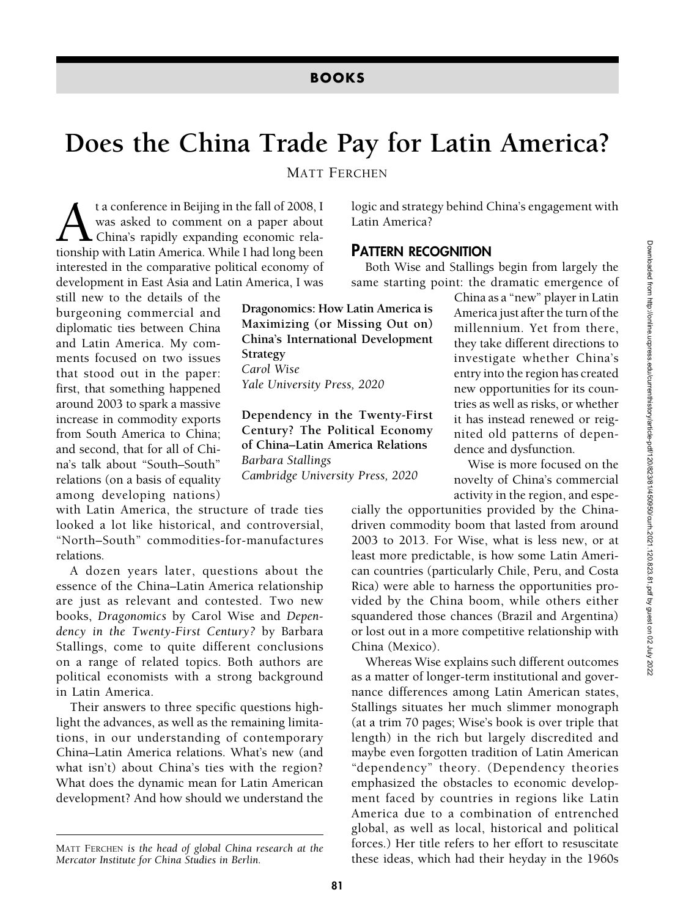# Does the China Trade Pay for Latin America?

## MATT FERCHEN

t a conference in Beijing in the fall of 2008, I<br>was asked to comment on a paper about<br>china's rapidly expanding economic relationship with Latin America. While I had long been was asked to comment on a paper about China's rapidly expanding economic relationship with Latin America. While I had long been interested in the comparative political economy of development in East Asia and Latin America, I was

still new to the details of the burgeoning commercial and diplomatic ties between China and Latin America. My comments focused on two issues that stood out in the paper: first, that something happened around 2003 to spark a massive increase in commodity exports from South America to China; and second, that for all of China's talk about "South–South" relations (on a basis of equality among developing nations)

with Latin America, the structure of trade ties looked a lot like historical, and controversial, "North–South" commodities-for-manufactures relations.

A dozen years later, questions about the essence of the China–Latin America relationship are just as relevant and contested. Two new books, Dragonomics by Carol Wise and Dependency in the Twenty-First Century? by Barbara Stallings, come to quite different conclusions on a range of related topics. Both authors are political economists with a strong background in Latin America.

Their answers to three specific questions highlight the advances, as well as the remaining limitations, in our understanding of contemporary China–Latin America relations. What's new (and what isn't) about China's ties with the region? What does the dynamic mean for Latin American development? And how should we understand the

logic and strategy behind China's engagement with Latin America?

#### PATTERN RECOGNITION

Both Wise and Stallings begin from largely the same starting point: the dramatic emergence of

Dragonomics: How Latin America is Maximizing (or Missing Out on) China's International Development Strategy Carol Wise Yale University Press, 2020

Dependency in the Twenty-First Century? The Political Economy of China–Latin America Relations Barbara Stallings Cambridge University Press, 2020

China as a "new" player in Latin America just after the turn of the millennium. Yet from there, they take different directions to investigate whether China's entry into the region has created new opportunities for its countries as well as risks, or whether it has instead renewed or reignited old patterns of dependence and dysfunction.

Wise is more focused on the novelty of China's commercial activity in the region, and espe-

cially the opportunities provided by the Chinadriven commodity boom that lasted from around 2003 to 2013. For Wise, what is less new, or at least more predictable, is how some Latin American countries (particularly Chile, Peru, and Costa Rica) were able to harness the opportunities provided by the China boom, while others either squandered those chances (Brazil and Argentina) or lost out in a more competitive relationship with China (Mexico).

Whereas Wise explains such different outcomes as a matter of longer-term institutional and governance differences among Latin American states, Stallings situates her much slimmer monograph (at a trim 70 pages; Wise's book is over triple that length) in the rich but largely discredited and maybe even forgotten tradition of Latin American "dependency" theory. (Dependency theories emphasized the obstacles to economic development faced by countries in regions like Latin America due to a combination of entrenched global, as well as local, historical and political forces.) Her title refers to her effort to resuscitate these ideas, which had their heyday in the 1960s

MATT FERCHEN is the head of global China research at the Mercator Institute for China Studies in Berlin.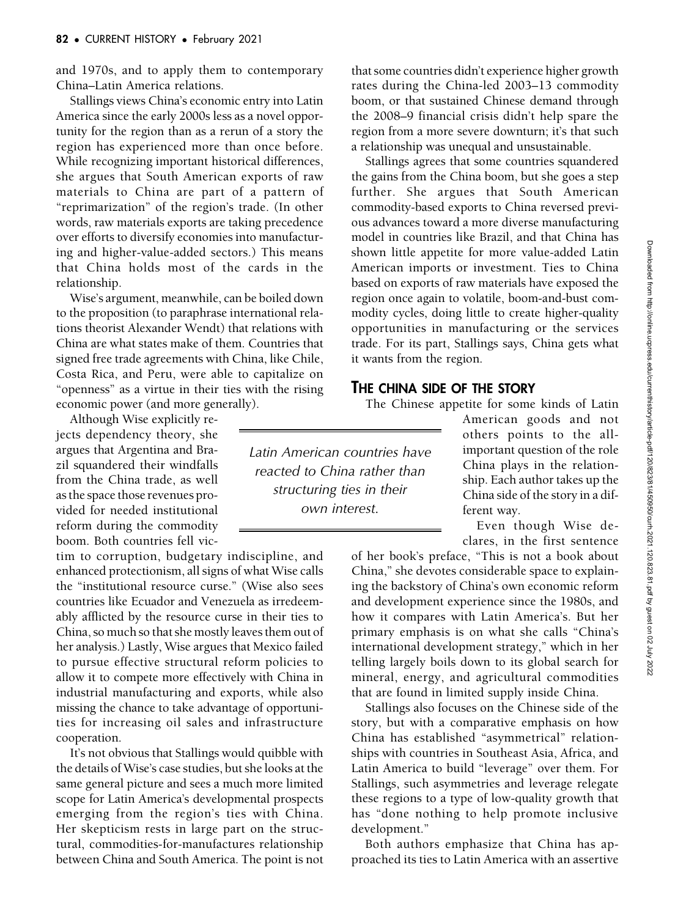and 1970s, and to apply them to contemporary China–Latin America relations.

Stallings views China's economic entry into Latin America since the early 2000s less as a novel opportunity for the region than as a rerun of a story the region has experienced more than once before. While recognizing important historical differences, she argues that South American exports of raw materials to China are part of a pattern of "reprimarization" of the region's trade. (In other words, raw materials exports are taking precedence over efforts to diversify economies into manufacturing and higher-value-added sectors.) This means that China holds most of the cards in the relationship.

Wise's argument, meanwhile, can be boiled down to the proposition (to paraphrase international relations theorist Alexander Wendt) that relations with China are what states make of them. Countries that signed free trade agreements with China, like Chile, Costa Rica, and Peru, were able to capitalize on "openness" as a virtue in their ties with the rising economic power (and more generally).

Although Wise explicitly rejects dependency theory, she argues that Argentina and Brazil squandered their windfalls from the China trade, as well as the space those revenues provided for needed institutional reform during the commodity boom. Both countries fell vic-

tim to corruption, budgetary indiscipline, and enhanced protectionism, all signs of what Wise calls the "institutional resource curse." (Wise also sees countries like Ecuador and Venezuela as irredeemably afflicted by the resource curse in their ties to China, so much so that she mostly leaves them out of her analysis.) Lastly, Wise argues that Mexico failed to pursue effective structural reform policies to allow it to compete more effectively with China in industrial manufacturing and exports, while also missing the chance to take advantage of opportunities for increasing oil sales and infrastructure cooperation.

It's not obvious that Stallings would quibble with the details of Wise's case studies, but she looks at the same general picture and sees a much more limited scope for Latin America's developmental prospects emerging from the region's ties with China. Her skepticism rests in large part on the structural, commodities-for-manufactures relationship between China and South America. The point is not

that some countries didn't experience higher growth rates during the China-led 2003–13 commodity boom, or that sustained Chinese demand through the 2008–9 financial crisis didn't help spare the region from a more severe downturn; it's that such a relationship was unequal and unsustainable.

Stallings agrees that some countries squandered the gains from the China boom, but she goes a step further. She argues that South American commodity-based exports to China reversed previous advances toward a more diverse manufacturing model in countries like Brazil, and that China has shown little appetite for more value-added Latin American imports or investment. Ties to China based on exports of raw materials have exposed the region once again to volatile, boom-and-bust commodity cycles, doing little to create higher-quality opportunities in manufacturing or the services trade. For its part, Stallings says, China gets what it wants from the region.

#### THE CHINA SIDE OF THE STORY

The Chinese appetite for some kinds of Latin

Latin American countries have reacted to China rather than structuring ties in their own interest.

American goods and not others points to the allimportant question of the role China plays in the relationship. Each author takes up the China side of the story in a different way.

Even though Wise declares, in the first sentence

of her book's preface, "This is not a book about China," she devotes considerable space to explaining the backstory of China's own economic reform and development experience since the 1980s, and how it compares with Latin America's. But her primary emphasis is on what she calls "China's international development strategy," which in her telling largely boils down to its global search for mineral, energy, and agricultural commodities that are found in limited supply inside China.

Stallings also focuses on the Chinese side of the story, but with a comparative emphasis on how China has established "asymmetrical" relationships with countries in Southeast Asia, Africa, and Latin America to build "leverage" over them. For Stallings, such asymmetries and leverage relegate these regions to a type of low-quality growth that has "done nothing to help promote inclusive development."

Both authors emphasize that China has approached its ties to Latin America with an assertive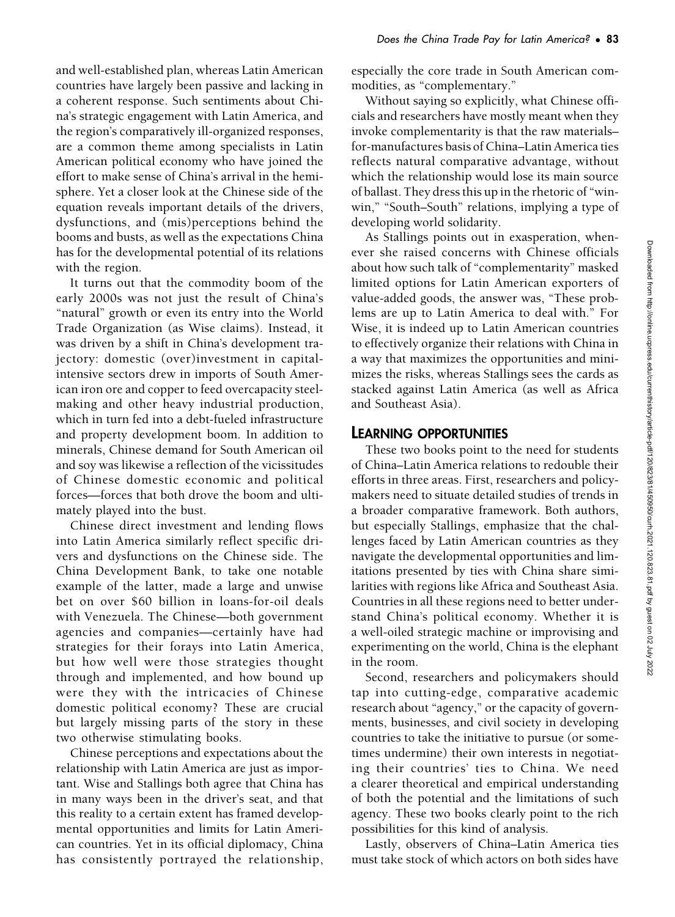and well-established plan, whereas Latin American countries have largely been passive and lacking in a coherent response. Such sentiments about China's strategic engagement with Latin America, and the region's comparatively ill-organized responses, are a common theme among specialists in Latin American political economy who have joined the effort to make sense of China's arrival in the hemisphere. Yet a closer look at the Chinese side of the equation reveals important details of the drivers, dysfunctions, and (mis)perceptions behind the booms and busts, as well as the expectations China has for the developmental potential of its relations with the region.

It turns out that the commodity boom of the early 2000s was not just the result of China's "natural" growth or even its entry into the World Trade Organization (as Wise claims). Instead, it was driven by a shift in China's development trajectory: domestic (over)investment in capitalintensive sectors drew in imports of South American iron ore and copper to feed overcapacity steelmaking and other heavy industrial production, which in turn fed into a debt-fueled infrastructure and property development boom. In addition to minerals, Chinese demand for South American oil and soy was likewise a reflection of the vicissitudes of Chinese domestic economic and political forces—forces that both drove the boom and ultimately played into the bust.

Chinese direct investment and lending flows into Latin America similarly reflect specific drivers and dysfunctions on the Chinese side. The China Development Bank, to take one notable example of the latter, made a large and unwise bet on over \$60 billion in loans-for-oil deals with Venezuela. The Chinese—both government agencies and companies—certainly have had strategies for their forays into Latin America, but how well were those strategies thought through and implemented, and how bound up were they with the intricacies of Chinese domestic political economy? These are crucial but largely missing parts of the story in these two otherwise stimulating books.

Chinese perceptions and expectations about the relationship with Latin America are just as important. Wise and Stallings both agree that China has in many ways been in the driver's seat, and that this reality to a certain extent has framed developmental opportunities and limits for Latin American countries. Yet in its official diplomacy, China has consistently portrayed the relationship, especially the core trade in South American commodities, as "complementary."

Without saying so explicitly, what Chinese officials and researchers have mostly meant when they invoke complementarity is that the raw materials– for-manufactures basis of China–Latin America ties reflects natural comparative advantage, without which the relationship would lose its main source of ballast. They dress this up in the rhetoric of "winwin," "South–South" relations, implying a type of developing world solidarity.

As Stallings points out in exasperation, whenever she raised concerns with Chinese officials about how such talk of "complementarity" masked limited options for Latin American exporters of value-added goods, the answer was, "These problems are up to Latin America to deal with." For Wise, it is indeed up to Latin American countries to effectively organize their relations with China in a way that maximizes the opportunities and minimizes the risks, whereas Stallings sees the cards as stacked against Latin America (as well as Africa and Southeast Asia).

### LEARNING OPPORTUNITIES

These two books point to the need for students of China–Latin America relations to redouble their efforts in three areas. First, researchers and policymakers need to situate detailed studies of trends in a broader comparative framework. Both authors, but especially Stallings, emphasize that the challenges faced by Latin American countries as they navigate the developmental opportunities and limitations presented by ties with China share similarities with regions like Africa and Southeast Asia. Countries in all these regions need to better understand China's political economy. Whether it is a well-oiled strategic machine or improvising and experimenting on the world, China is the elephant in the room.

Second, researchers and policymakers should tap into cutting-edge, comparative academic research about "agency," or the capacity of governments, businesses, and civil society in developing countries to take the initiative to pursue (or sometimes undermine) their own interests in negotiating their countries' ties to China. We need a clearer theoretical and empirical understanding of both the potential and the limitations of such agency. These two books clearly point to the rich possibilities for this kind of analysis.

Lastly, observers of China–Latin America ties must take stock of which actors on both sides have